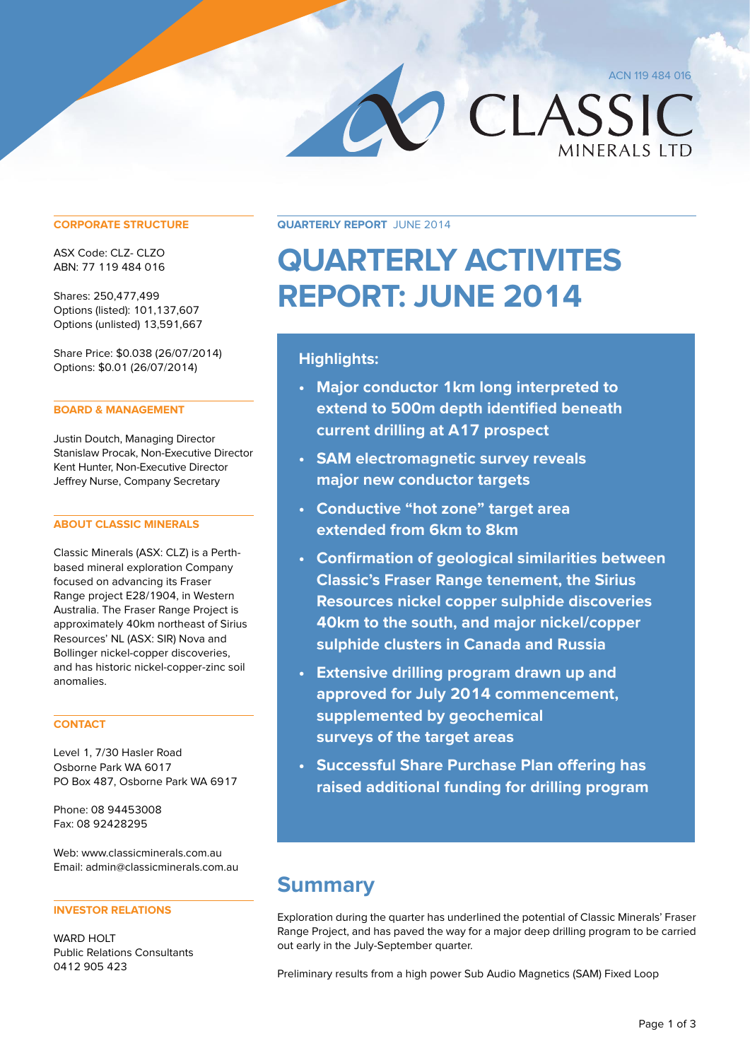ACN 119 484 016

CLASSIC

## **CORPORATE STRUCTURE**

ASX Code: CLZ- CLZO ABN: 77 119 484 016

Shares: 250,477,499 Options (listed): 101,137,607 Options (unlisted) 13,591,667

Share Price: \$0.038 (26/07/2014) Options: \$0.01 (26/07/2014)

## **BOARD & MANAGEMENT**

Justin Doutch, Managing Director Stanislaw Procak, Non-Executive Director Kent Hunter, Non-Executive Director Jeffrey Nurse, Company Secretary

## **ABOUT CLASSIC MINERALS**

Classic Minerals (ASX: CLZ) is a Perthbased mineral exploration Company focused on advancing its Fraser Range project E28/1904, in Western Australia. The Fraser Range Project is approximately 40km northeast of Sirius Resources' NL (ASX: SIR) Nova and Bollinger nickel-copper discoveries, and has historic nickel-copper-zinc soil anomalies.

## **CONTACT**

Level 1, 7/30 Hasler Road Osborne Park WA 6017 PO Box 487, Osborne Park WA 6917

Phone: 08 94453008 Fax: 08 92428295

Web: www.classicminerals.com.au Email: admin@classicminerals.com.au

## **INVESTOR RELATIONS**

WARD HOLT Public Relations Consultants 0412 905 423

**Quarterly Report** June 2014

# **QUARTERLY ACTIVITES REPORT: JUNE 2014**

## **Highlights:**

- **• Major conductor 1km long interpreted to extend to 500m depth identified beneath current drilling at A17 prospect**
- **• SAM electromagnetic survey reveals major new conductor targets**
- **• Conductive "hot zone" target area extended from 6km to 8km**
- **• Confirmation of geological similarities between Classic's Fraser Range tenement, the Sirius Resources nickel copper sulphide discoveries 40km to the south, and major nickel/copper sulphide clusters in Canada and Russia**
- **• Extensive drilling program drawn up and approved for July 2014 commencement, supplemented by geochemical surveys of the target areas**
- **• Successful Share Purchase Plan offering has raised additional funding for drilling program**

# **Summary**

Exploration during the quarter has underlined the potential of Classic Minerals' Fraser Range Project, and has paved the way for a major deep drilling program to be carried out early in the July-September quarter.

Preliminary results from a high power Sub Audio Magnetics (SAM) Fixed Loop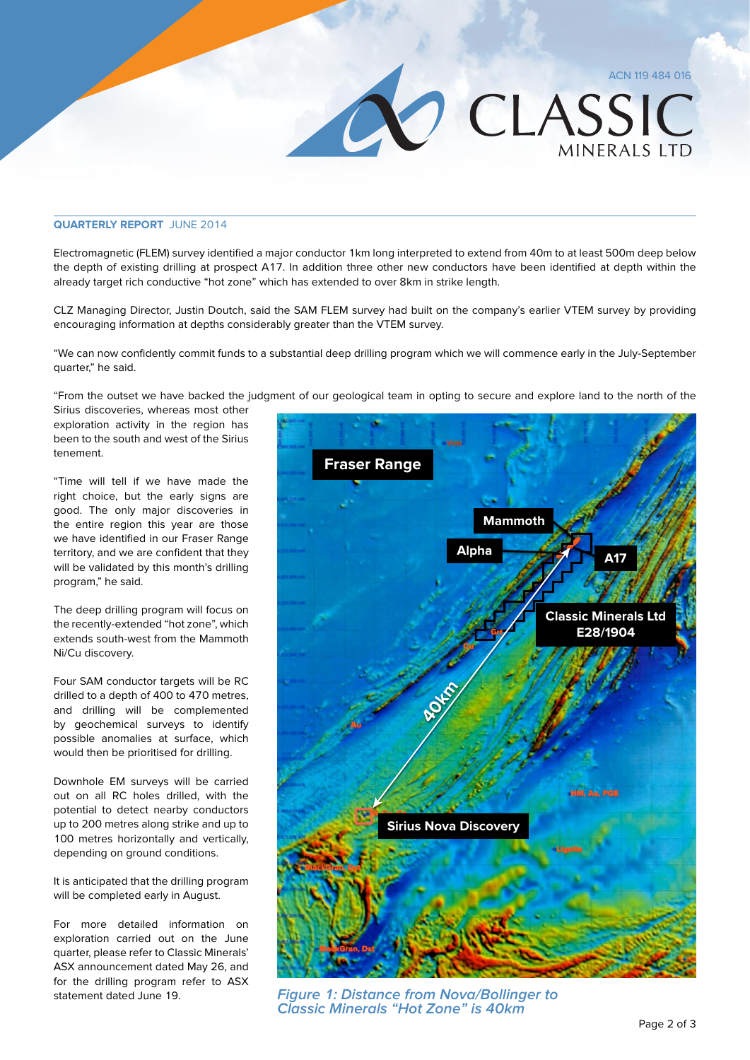## **Quarterly Report** June 2014

Electromagnetic (FLEM) survey identified a major conductor 1km long interpreted to extend from 40m to at least 500m deep below the depth of existing drilling at prospect A17. In addition three other new conductors have been identified at depth within the already target rich conductive "hot zone" which has extended to over 8km in strike length.

CLZ Managing Director, Justin Doutch, said the SAM FLEM survey had built on the company's earlier VTEM survey by providing encouraging information at depths considerably greater than the VTEM survey.

"We can now confidently commit funds to a substantial deep drilling program which we will commence early in the July-September quarter," he said.

"From the outset we have backed the judgment of our geological team in opting to secure and explore land to the north of the Sirius discoveries, whereas most other

exploration activity in the region has been to the south and west of the Sirius tenement.

"Time will tell if we have made the right choice, but the early signs are good. The only major discoveries in the entire region this year are those we have identified in our Fraser Range territory, and we are confident that they will be validated by this month's drilling program," he said.

The deep drilling program will focus on the recently-extended "hot zone", which extends south-west from the Mammoth Ni/Cu discovery.

Four SAM conductor targets will be RC drilled to a depth of 400 to 470 metres, and drilling will be complemented by geochemical surveys to identify possible anomalies at surface, which would then be prioritised for drilling.

Downhole EM surveys will be carried out on all RC holes drilled, with the potential to detect nearby conductors up to 200 metres along strike and up to 100 metres horizontally and vertically, depending on ground conditions.

It is anticipated that the drilling program will be completed early in August.

For more detailed information on exploration carried out on the June quarter, please refer to Classic Minerals' ASX announcement dated May 26, and for the drilling program refer to ASX statement dated June 19.



O CLASSIC

MINFRAIS ITD

**Figure 1: Distance from Nova/Bollinger to Classic Minerals "Hot Zone" is 40km**